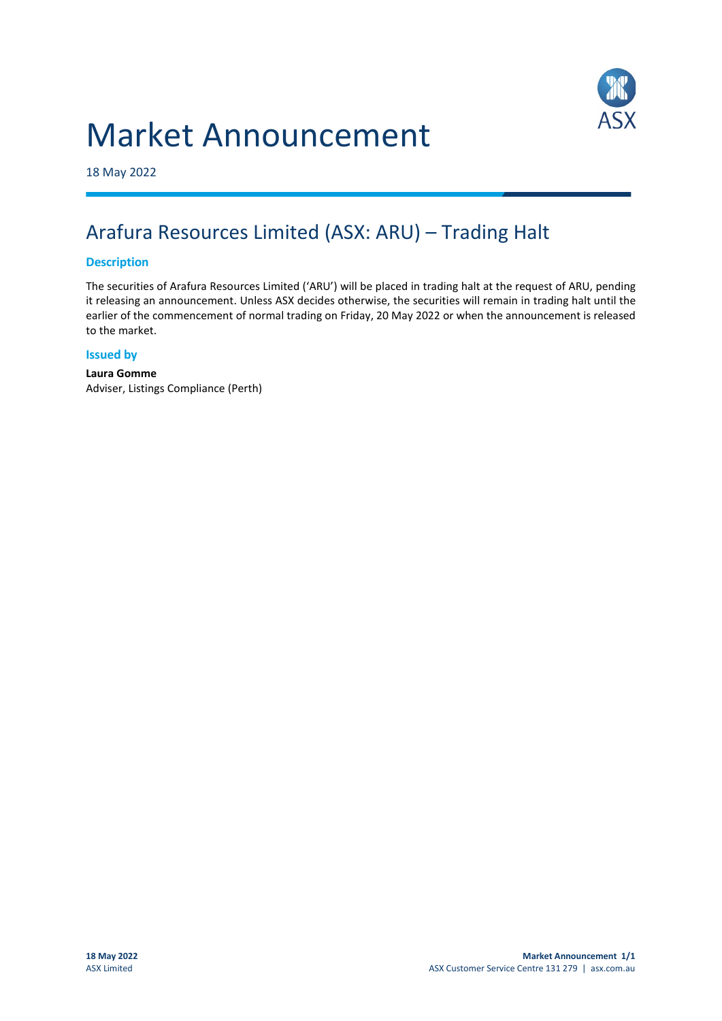# Market Announcement



18 May 2022

## Arafura Resources Limited (ASX: ARU) – Trading Halt

#### **Description**

The securities of Arafura Resources Limited ('ARU') will be placed in trading halt at the request of ARU, pending it releasing an announcement. Unless ASX decides otherwise, the securities will remain in trading halt until the earlier of the commencement of normal trading on Friday, 20 May 2022 or when the announcement is released to the market.

#### **Issued by**

**Laura Gomme** Adviser, Listings Compliance (Perth)